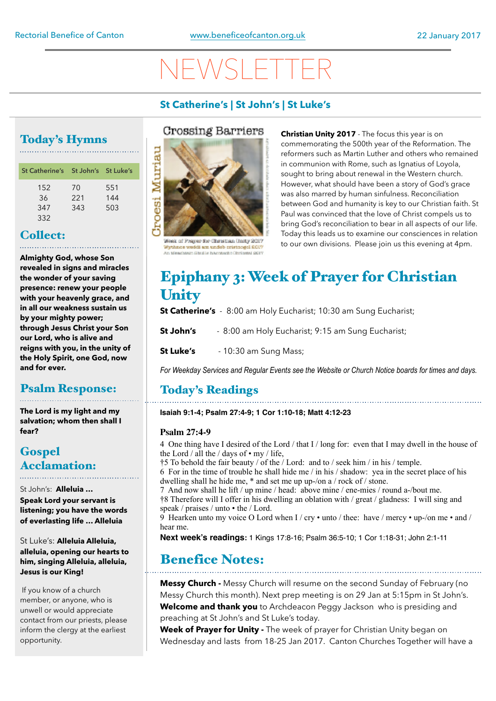# $\sqrt{|-\setminus/\setminus}$

### **St Catherine's | St John's | St Luke's**

### Today's Hymns

| St Catherine's St John's St Luke's |           |            |
|------------------------------------|-----------|------------|
| 152<br>36                          | 70<br>221 | 551<br>144 |
| 347                                | 343       | 503        |
| 332                                |           |            |

### Collect:

**Almighty God, whose Son revealed in signs and miracles the wonder of your saving presence: renew your people with your heavenly grace, and in all our weakness sustain us by your mighty power; through Jesus Christ your Son our Lord, who is alive and reigns with you, in the unity of the Holy Spirit, one God, now and for ever.**

### Psalm Response:

**The Lord is my light and my salvation; whom then shall I fear?** 

### **Gospel** Acclamation:

St John's: **Alleluia … Speak Lord your servant is listening; you have the words of everlasting life … Alleluia** 

#### St Luke's: **Alleluia Alleluia, alleluia, opening our hearts to him, singing Alleluia, alleluia, Jesus is our King!**

If you know of a church member, or anyone, who is unwell or would appreciate contact from our priests, please inform the clergy at the earliest opportunity.

### Crossing Barriers



Week of Preyer for Christian Unity 2017 ythnos weddi am undeb cristnogol ROU? An Meachtain Ghuille hAcobacht Christeau 9617

**Christian Unity 2017** - The focus this year is on commemorating the 500th year of the Reformation. The reformers such as Martin Luther and others who remained in communion with Rome, such as Ignatius of Loyola, sought to bring about renewal in the Western church. However, what should have been a story of God's grace was also marred by human sinfulness. Reconciliation between God and humanity is key to our Christian faith. St Paul was convinced that the love of Christ compels us to bring God's reconciliation to bear in all aspects of our life. Today this leads us to examine our consciences in relation to our own divisions. Please join us this evening at 4pm.

## Epiphany 3: Week of Prayer for Christian Unity

**St Catherine's** - 8:00 am Holy Eucharist; 10:30 am Sung Eucharist;

**St John's** - 8:00 am Holy Eucharist; 9:15 am Sung Eucharist;

**St Luke's** - 10:30 am Sung Mass;

*For Weekday Services and Regular Events see the Website or Church Notice boards for times and days.* 

### Today's Readings

**Isaiah 9:1-4; Psalm 27:4-9; 1 Cor 1:10-18; Matt 4:12-23**

### **Psalm 27:4-9**

4 One thing have I desired of the Lord / that I / long for: even that I may dwell in the house of the Lord / all the / days of  $\cdot$  my / life,

†5 To behold the fair beauty / of the / Lord: and to / seek him / in his / temple.

6 For in the time of trouble he shall hide me / in his / shadow: yea in the secret place of his dwelling shall he hide me, \* and set me up up-/on a / rock of / stone.

7 And now shall he lift / up mine / head: above mine / ene-mies / round a-/bout me. †8 Therefore will I offer in his dwelling an oblation with / great / gladness: I will sing and speak / praises / unto • the / Lord.

9 Hearken unto my voice O Lord when I / cry • unto / thee: have / mercy • up-/on me • and / hear me.

**Next week's readings:** 1 Kings 17:8-16; Psalm 36:5-10; 1 Cor 1:18-31; John 2:1-11

### Benefice Notes:

**Messy Church -** Messy Church will resume on the second Sunday of February (no Messy Church this month). Next prep meeting is on 29 Jan at 5:15pm in St John's. **Welcome and thank you** to Archdeacon Peggy Jackson who is presiding and preaching at St John's and St Luke's today.

**Week of Prayer for Unity -** The week of prayer for Christian Unity began on Wednesday and lasts from 18-25 Jan 2017. Canton Churches Together will have a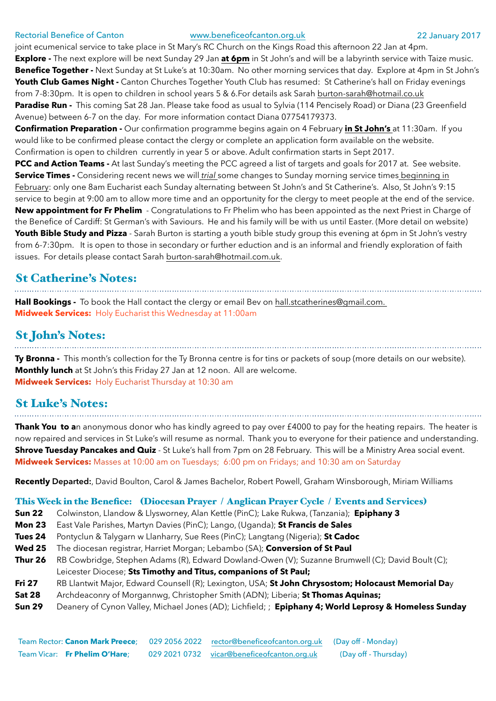#### Rectorial Benefice of Canton [www.beneficeofcanton.org.uk](http://www.beneficeofcanton.org.uk) 22 January 2017

joint ecumenical service to take place in St Mary's RC Church on the Kings Road this afternoon 22 Jan at 4pm. **Explore -** The next explore will be next Sunday 29 Jan **at 6pm** in St John's and will be a labyrinth service with Taize music. **Benefice Together -** Next Sunday at St Luke's at 10:30am. No other morning services that day. Explore at 4pm in St John's **Youth Club Games Night -** Canton Churches Together Youth Club has resumed: St Catherine's hall on Friday evenings from 7-8:30pm. It is open to children in school years 5 & 6.For details ask Sarah [burton-sarah@hotmail.co.uk](mailto:burton-sarah@hotmail.co.uk)  **Paradise Run -** This coming Sat 28 Jan. Please take food as usual to Sylvia (114 Pencisely Road) or Diana (23 Greenfield Avenue) between 6-7 on the day. For more information contact Diana 07754179373. **Confirmation Preparation -** Our confirmation programme begins again on 4 February **in St John's** at 11:30am. If you would like to be confirmed please contact the clergy or complete an application form available on the website. Confirmation is open to children currently in year 5 or above. Adult confirmation starts in Sept 2017. **PCC and Action Teams** - At last Sunday's meeting the PCC agreed a list of targets and goals for 2017 at. See website. **Service Times -** Considering recent news we will *trial* some changes to Sunday morning service times beginning in February: only one 8am Eucharist each Sunday alternating between St John's and St Catherine's. Also, St John's 9:15 service to begin at 9:00 am to allow more time and an opportunity for the clergy to meet people at the end of the service.

**New appointment for Fr Phelim** - Congratulations to Fr Phelim who has been appointed as the next Priest in Charge of the Benefice of Cardiff: St German's with Saviours. He and his family will be with us until Easter. (More detail on website) **Youth Bible Study and Pizza** - Sarah Burton is starting a youth bible study group this evening at 6pm in St John's vestry from 6-7:30pm. It is open to those in secondary or further eduction and is an informal and friendly exploration of faith issues. For details please contact Sarah [burton-sarah@hotmail.com.uk](mailto:burton-sarah@hotmail.com.uk).

## St Catherine's Notes:

**Hall Bookings -** To book the Hall contact the clergy or email Bev on [hall.stcatherines@gmail.com](mailto:hall.stcatherines@gmail.com). **Midweek Services:** Holy Eucharist this Wednesday at 11:00am

## St John's Notes:

**Ty Bronna -** This month's collection for the Ty Bronna centre is for tins or packets of soup (more details on our website). **Monthly lunch** at St John's this Friday 27 Jan at 12 noon. All are welcome. **Midweek Services:** Holy Eucharist Thursday at 10:30 am

### St Luke's Notes:

**Thank You to a**n anonymous donor who has kindly agreed to pay over £4000 to pay for the heating repairs. The heater is now repaired and services in St Luke's will resume as normal. Thank you to everyone for their patience and understanding. **Shrove Tuesday Pancakes and Quiz** - St Luke's hall from 7pm on 28 February. This will be a Ministry Area social event. **Midweek Services:** Masses at 10:00 am on Tuesdays; 6:00 pm on Fridays; and 10:30 am on Saturday

**Recently Departed:**, David Boulton, Carol & James Bachelor, Robert Powell, Graham Winsborough, Miriam Williams

### This Week in the Benefice: (Diocesan Prayer / Anglican Prayer Cycle / Events and Services)

- **Sun 22** Colwinston, Llandow & Llysworney, Alan Kettle (PinC); Lake Rukwa, (Tanzania); **Epiphany 3**
- **Mon 23** East Vale Parishes, Martyn Davies (PinC); Lango, (Uganda); **St Francis de Sales**
- **Tues 24** Pontyclun & Talygarn w Llanharry, Sue Rees (PinC); Langtang (Nigeria); **St Cadoc**
- **Wed 25** The diocesan registrar, Harriet Morgan; Lebambo (SA); **Conversion of St Paul**
- **Thur 26** RB Cowbridge, Stephen Adams (R), Edward Dowland-Owen (V); Suzanne Brumwell (C); David Boult (C); Leicester Diocese; **Sts Timothy and Titus, companions of St Paul;**
- **Fri 27** RB Llantwit Major, Edward Counsell (R); Lexington, USA; **St John Chrysostom; Holocaust Memorial Da**y
- **Sat 28** Archdeaconry of Morgannwg, Christopher Smith (ADN); Liberia; **St Thomas Aquinas;**
- **Sun 29** Deanery of Cynon Valley, Michael Jones (AD); Lichfield; ; **Epiphany 4; World Leprosy & Homeless Sunday**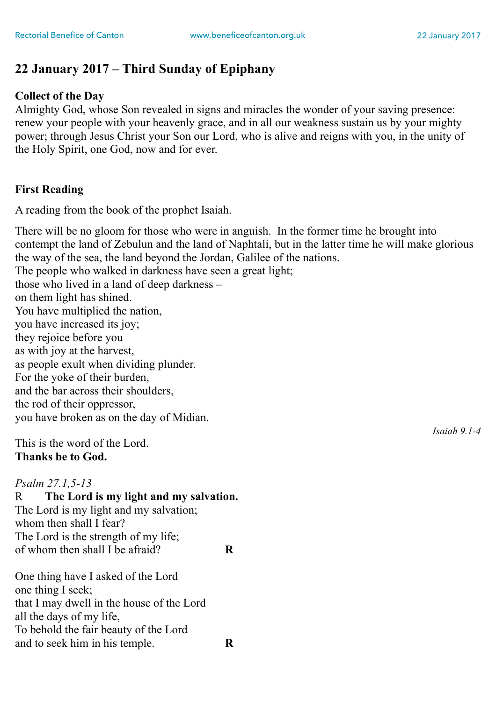### **22 January 2017 – Third Sunday of Epiphany**

### **Collect of the Day**

Almighty God, whose Son revealed in signs and miracles the wonder of your saving presence: renew your people with your heavenly grace, and in all our weakness sustain us by your mighty power; through Jesus Christ your Son our Lord, who is alive and reigns with you, in the unity of the Holy Spirit, one God, now and for ever.

### **First Reading**

A reading from the book of the prophet Isaiah.

There will be no gloom for those who were in anguish. In the former time he brought into contempt the land of Zebulun and the land of Naphtali, but in the latter time he will make glorious the way of the sea, the land beyond the Jordan, Galilee of the nations. The people who walked in darkness have seen a great light; those who lived in a land of deep darkness – on them light has shined. You have multiplied the nation, you have increased its joy; they rejoice before you as with joy at the harvest, as people exult when dividing plunder. For the yoke of their burden, and the bar across their shoulders, the rod of their oppressor, you have broken as on the day of Midian. This is the word of the Lord. **Thanks be to God.** 

### *Psalm 27.1,5-13*

## R **The Lord is my light and my salvation.**

The Lord is my light and my salvation; whom then shall I fear? The Lord is the strength of my life; of whom then shall I be afraid? **R** 

One thing have I asked of the Lord one thing I seek; that I may dwell in the house of the Lord all the days of my life, To behold the fair beauty of the Lord and to seek him in his temple. **R**  *Isaiah 9.1-4*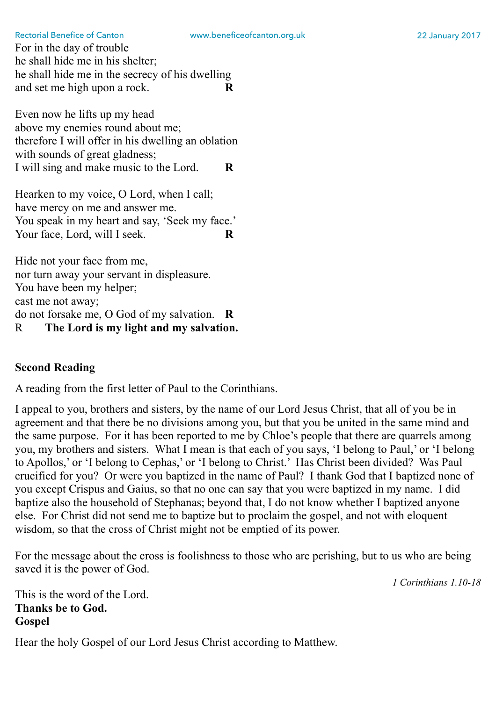For in the day of trouble he shall hide me in his shelter; he shall hide me in the secrecy of his dwelling and set me high upon a rock. **R** 

Even now he lifts up my head above my enemies round about me; therefore I will offer in his dwelling an oblation with sounds of great gladness; I will sing and make music to the Lord. **R** 

Hearken to my voice, O Lord, when I call; have mercy on me and answer me. You speak in my heart and say, 'Seek my face.' Your face, Lord, will I seek. **R** 

Hide not your face from me, nor turn away your servant in displeasure. You have been my helper; cast me not away; do not forsake me, O God of my salvation. **R**  R **The Lord is my light and my salvation.** 

### **Second Reading**

A reading from the first letter of Paul to the Corinthians.

I appeal to you, brothers and sisters, by the name of our Lord Jesus Christ, that all of you be in agreement and that there be no divisions among you, but that you be united in the same mind and the same purpose. For it has been reported to me by Chloe's people that there are quarrels among you, my brothers and sisters. What I mean is that each of you says, 'I belong to Paul,' or 'I belong to Apollos,' or 'I belong to Cephas,' or 'I belong to Christ.' Has Christ been divided? Was Paul crucified for you? Or were you baptized in the name of Paul? I thank God that I baptized none of you except Crispus and Gaius, so that no one can say that you were baptized in my name. I did baptize also the household of Stephanas; beyond that, I do not know whether I baptized anyone else. For Christ did not send me to baptize but to proclaim the gospel, and not with eloquent wisdom, so that the cross of Christ might not be emptied of its power.

For the message about the cross is foolishness to those who are perishing, but to us who are being saved it is the power of God.

*1 Corinthians 1.10-18* 

This is the word of the Lord. **Thanks be to God. Gospel** 

Hear the holy Gospel of our Lord Jesus Christ according to Matthew.